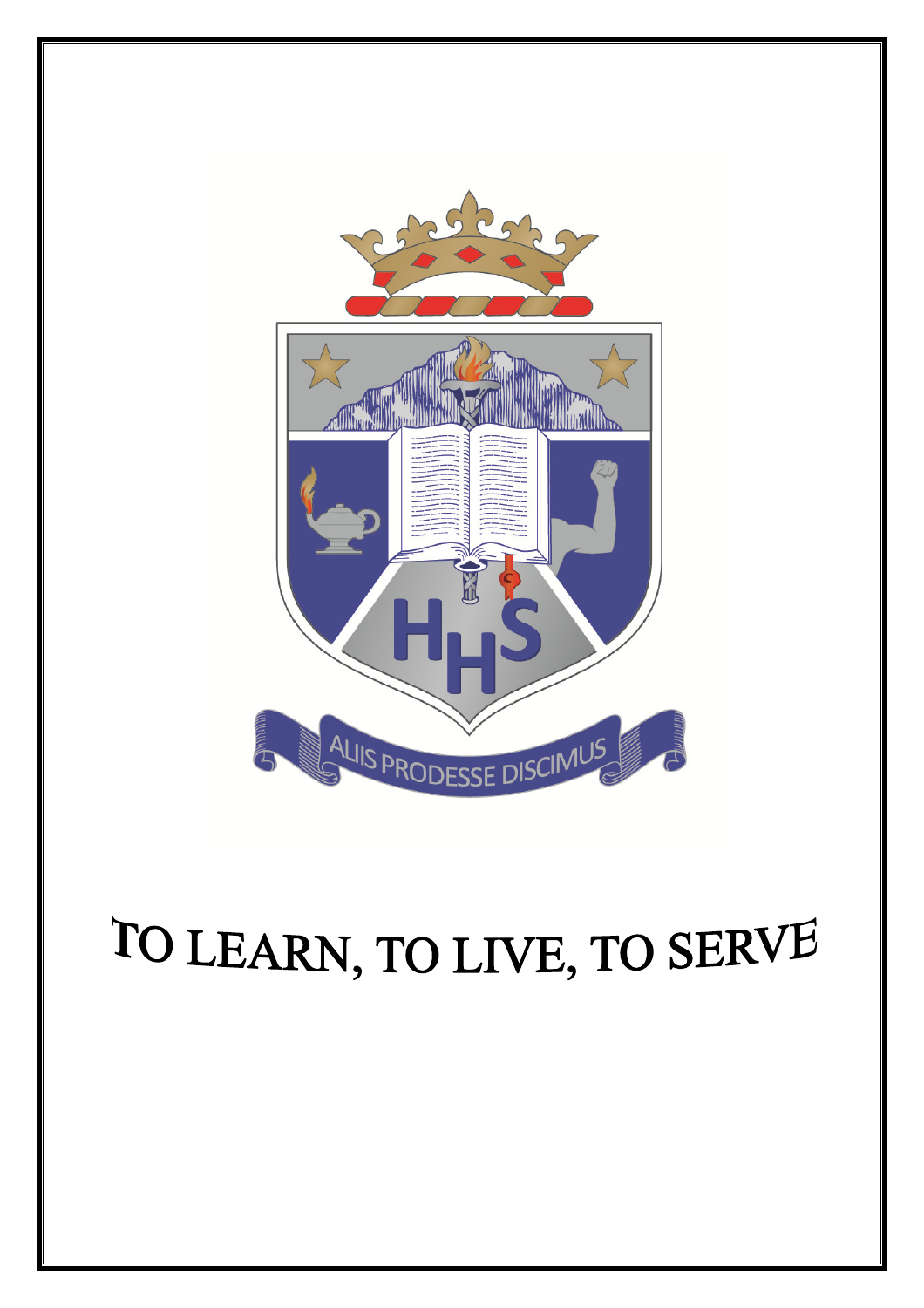

# TO LEARN, TO LIVE, TO SERVE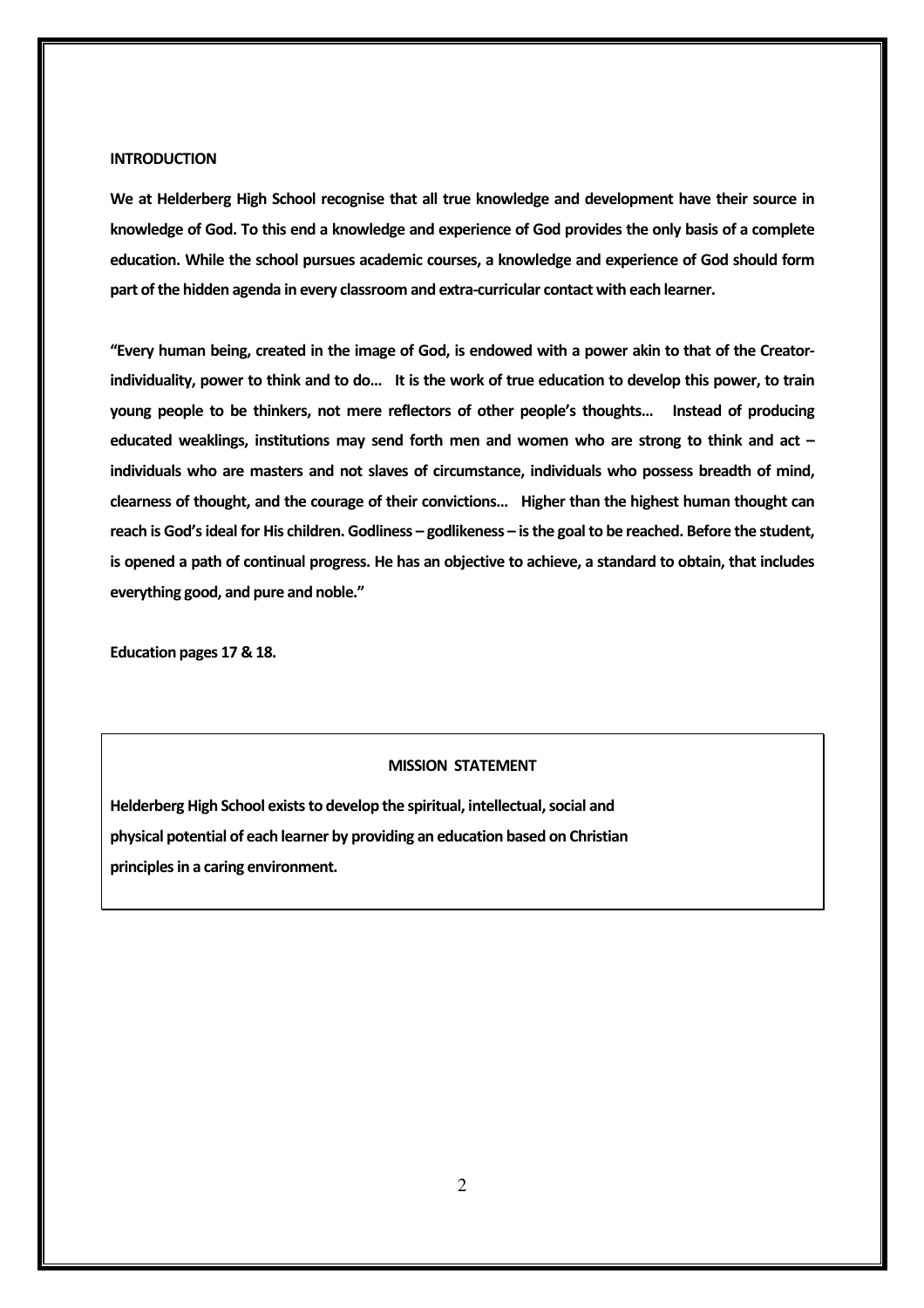#### **INTRODUCTION**

We at Helderberg High School recognise that all true knowledge and development have their source in knowledge of God. To this end a knowledge and experience of God provides the only basis of a complete education. While the school pursues academic courses, a knowledge and experience of God should form part of the hidden agenda in every classroom and extra-curricular contact with each learner.

"Every human being, created in the image of God, is endowed with a power akin to that of the Creatorindividuality, power to think and to do… It is the work of true education to develop this power, to train young people to be thinkers, not mere reflectors of other people's thoughts… Instead of producing educated weaklings, institutions may send forth men and women who are strong to think and act  $$ individuals who are masters and not slaves of circumstance, individuals who possess breadth of mind, clearness of thought, and the courage of their convictions… Higher than the highest human thought can reach is God's ideal for His children. Godliness – godlikeness – is the goal to be reached. Before the student, is opened a path of continual progress. He has an objective to achieve, a standard to obtain, that includes everything good, and pure and noble."

Education pages 17 & 18.

#### MISSION STATEMENT

Helderberg High School exists to develop the spiritual, intellectual, social and physical potential of each learner by providing an education based on Christian principles in a caring environment.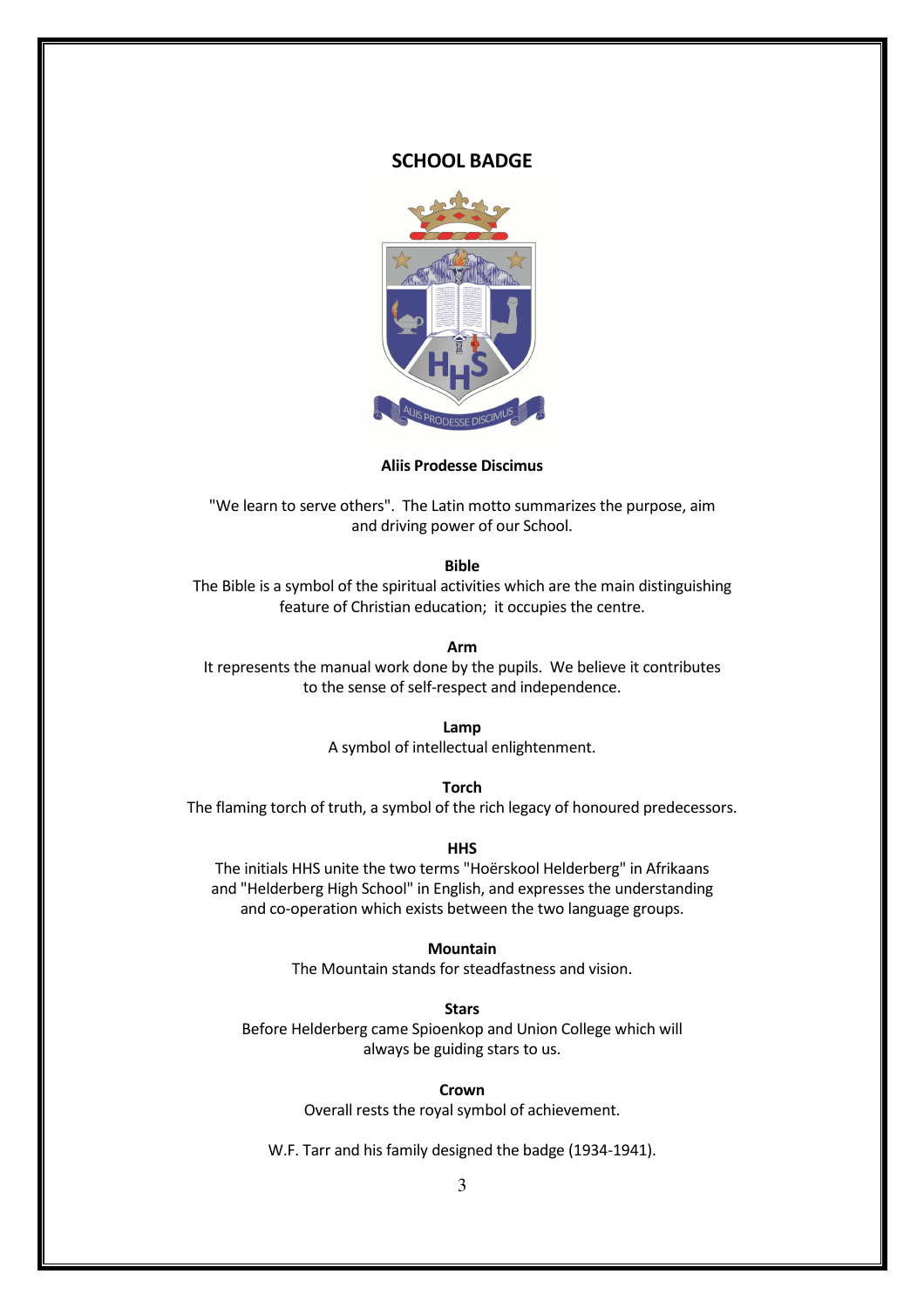#### SCHOOL BADGE



#### Aliis Prodesse Discimus

"We learn to serve others". The Latin motto summarizes the purpose, aim and driving power of our School.

#### Bible

The Bible is a symbol of the spiritual activities which are the main distinguishing feature of Christian education; it occupies the centre.

#### Arm

It represents the manual work done by the pupils. We believe it contributes to the sense of self-respect and independence.

Lamp

A symbol of intellectual enlightenment.

Torch

The flaming torch of truth, a symbol of the rich legacy of honoured predecessors.

**HHS** 

The initials HHS unite the two terms "Hoërskool Helderberg" in Afrikaans and "Helderberg High School" in English, and expresses the understanding and co-operation which exists between the two language groups.

#### Mountain

The Mountain stands for steadfastness and vision.

**Stars** 

Before Helderberg came Spioenkop and Union College which will always be guiding stars to us.

#### Crown

Overall rests the royal symbol of achievement.

W.F. Tarr and his family designed the badge (1934-1941).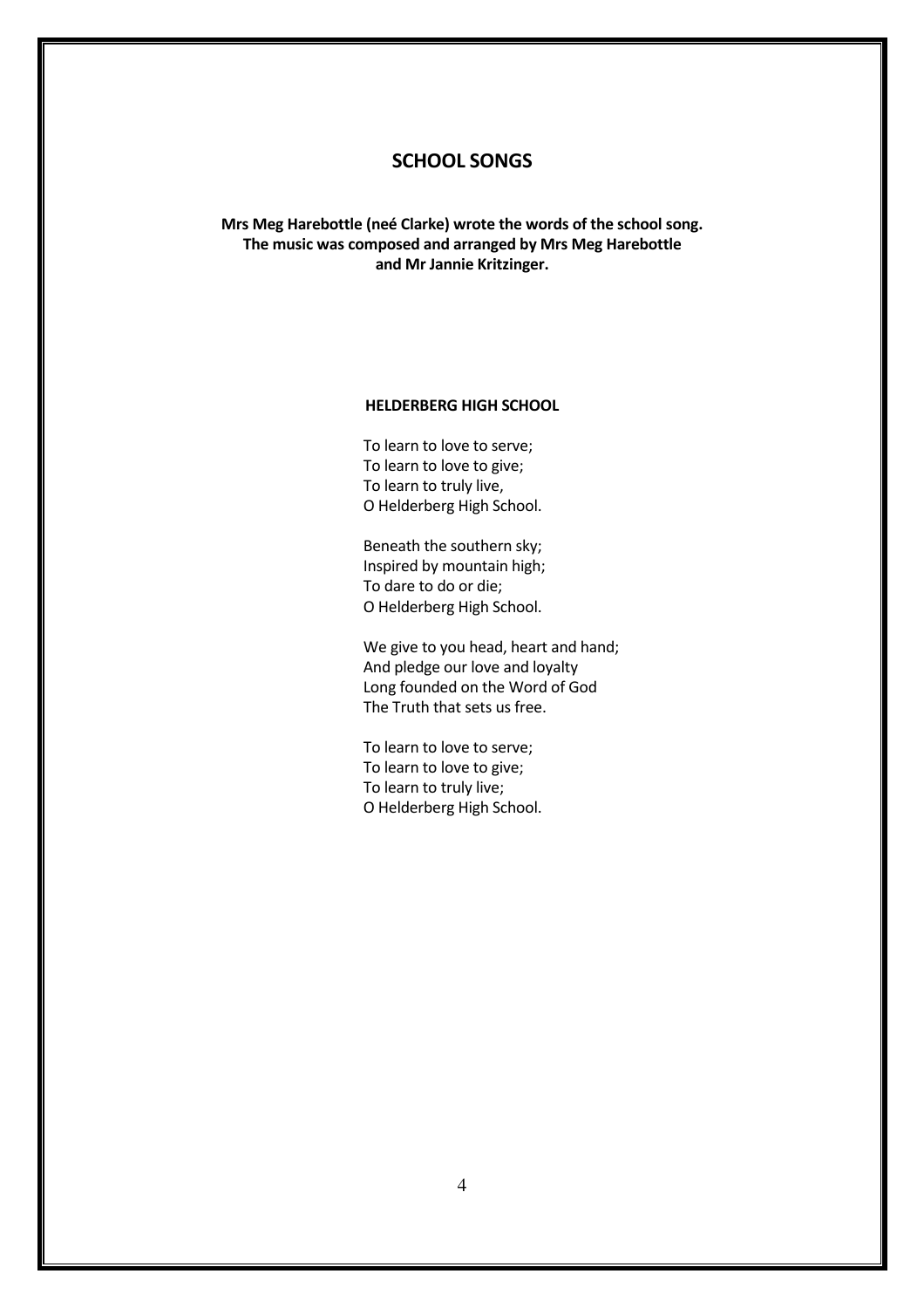# SCHOOL SONGS

Mrs Meg Harebottle (neé Clarke) wrote the words of the school song. The music was composed and arranged by Mrs Meg Harebottle and Mr Jannie Kritzinger.

#### HELDERBERG HIGH SCHOOL

To learn to love to serve; To learn to love to give; To learn to truly live, O Helderberg High School.

Beneath the southern sky; Inspired by mountain high; To dare to do or die; O Helderberg High School.

We give to you head, heart and hand; And pledge our love and loyalty Long founded on the Word of God The Truth that sets us free.

To learn to love to serve; To learn to love to give; To learn to truly live; O Helderberg High School.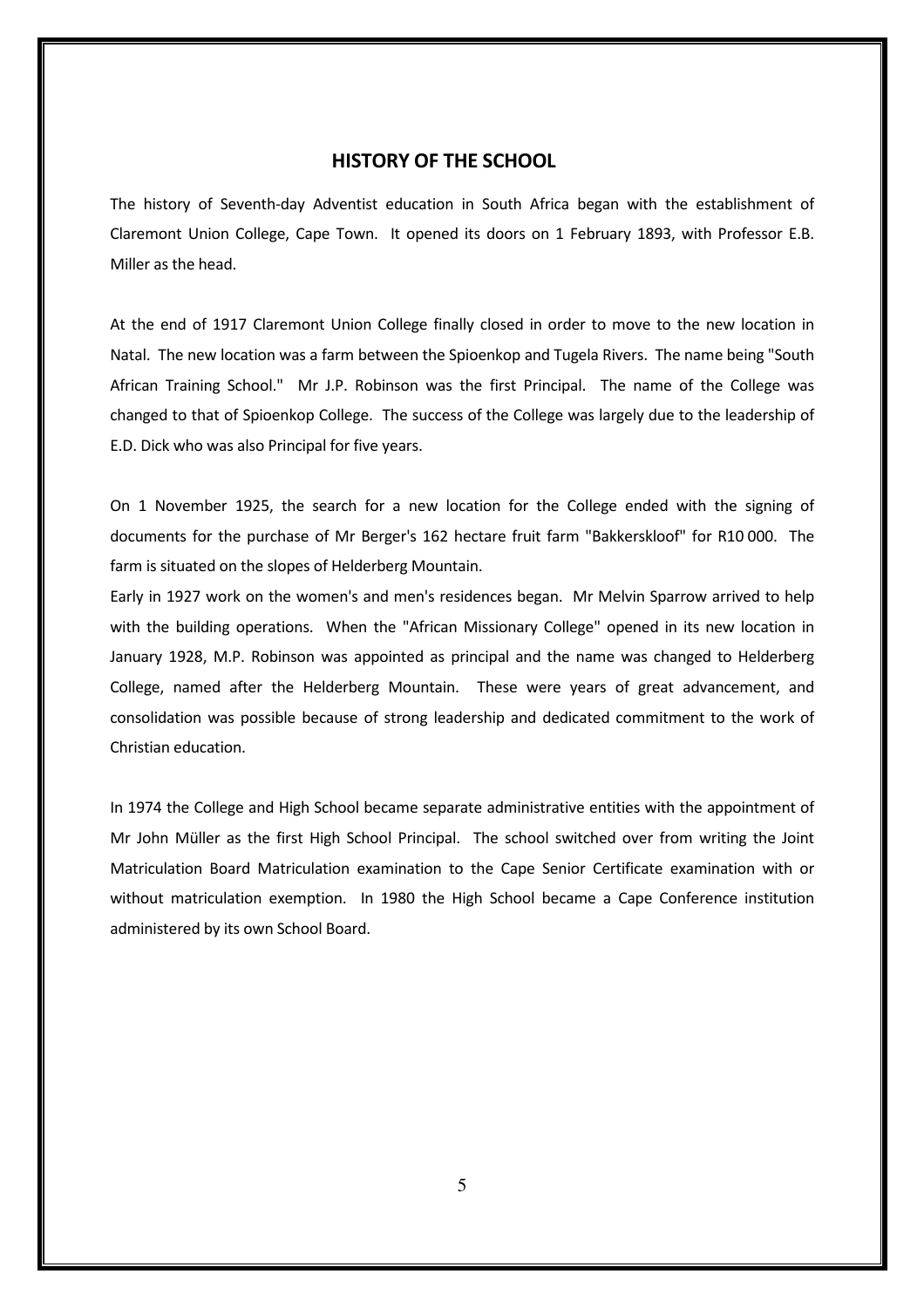#### HISTORY OF THE SCHOOL

The history of Seventh-day Adventist education in South Africa began with the establishment of Claremont Union College, Cape Town. It opened its doors on 1 February 1893, with Professor E.B. Miller as the head.

At the end of 1917 Claremont Union College finally closed in order to move to the new location in Natal. The new location was a farm between the Spioenkop and Tugela Rivers. The name being "South African Training School." Mr J.P. Robinson was the first Principal. The name of the College was changed to that of Spioenkop College. The success of the College was largely due to the leadership of E.D. Dick who was also Principal for five years.

On 1 November 1925, the search for a new location for the College ended with the signing of documents for the purchase of Mr Berger's 162 hectare fruit farm "Bakkerskloof" for R10 000. The farm is situated on the slopes of Helderberg Mountain.

Early in 1927 work on the women's and men's residences began. Mr Melvin Sparrow arrived to help with the building operations. When the "African Missionary College" opened in its new location in January 1928, M.P. Robinson was appointed as principal and the name was changed to Helderberg College, named after the Helderberg Mountain. These were years of great advancement, and consolidation was possible because of strong leadership and dedicated commitment to the work of Christian education.

In 1974 the College and High School became separate administrative entities with the appointment of Mr John Müller as the first High School Principal. The school switched over from writing the Joint Matriculation Board Matriculation examination to the Cape Senior Certificate examination with or without matriculation exemption. In 1980 the High School became a Cape Conference institution administered by its own School Board.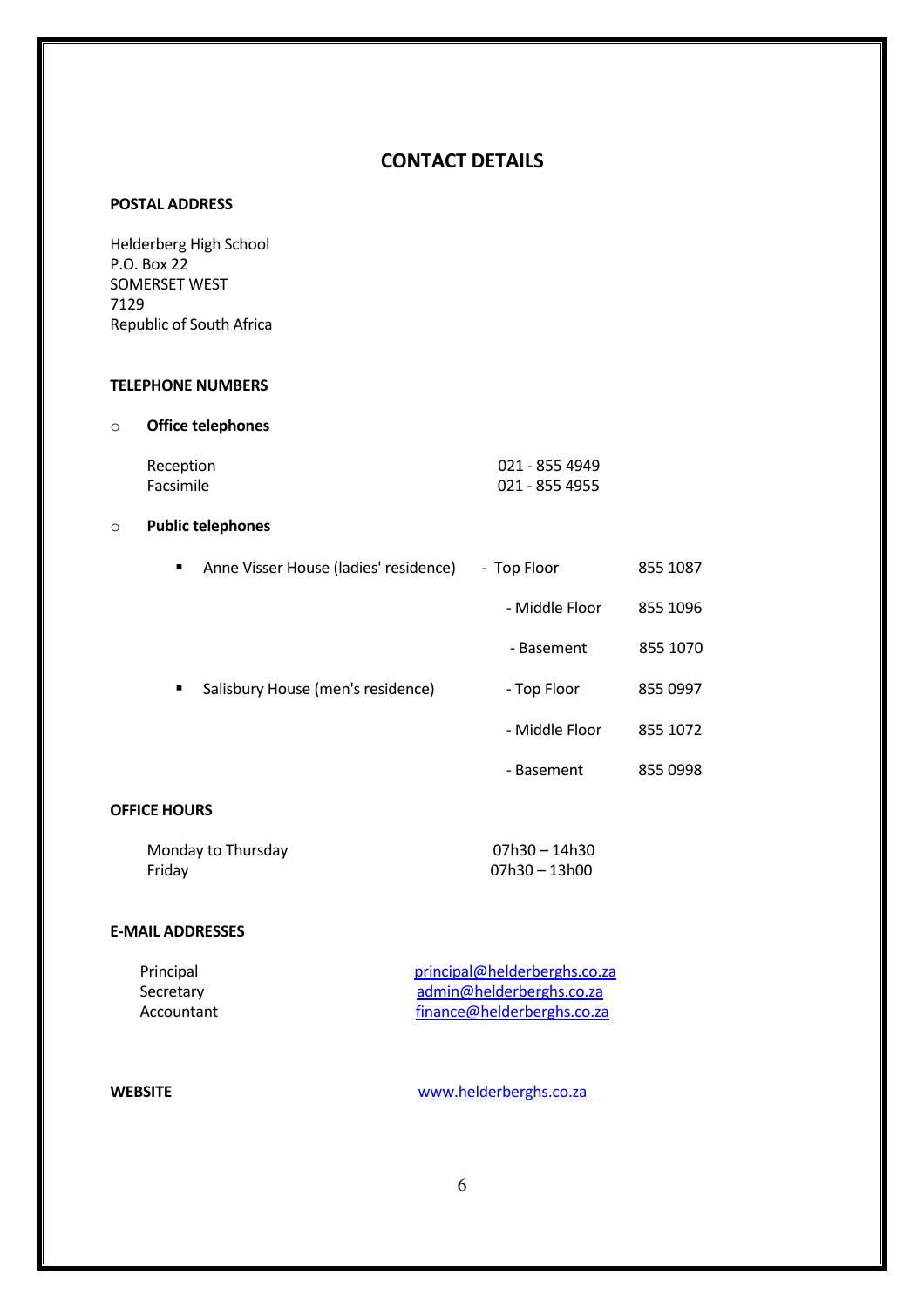# CONTACT DETAILS

#### POSTAL ADDRESS

Helderberg High School P.O. Box 22 SOMERSET WEST 7129 Republic of South Africa

#### TELEPHONE NUMBERS

#### o Office telephones

| Reception | 021 - 855 4949 |
|-----------|----------------|
| Facsimile | 021 - 855 4955 |

#### o Public telephones

| ٠ | Anne Visser House (ladies' residence) | - Top Floor    | 855 1087 |
|---|---------------------------------------|----------------|----------|
|   |                                       | - Middle Floor | 855 1096 |
|   |                                       | - Basement     | 855 1070 |
| ٠ | Salisbury House (men's residence)     | - Top Floor    | 855 0997 |
|   |                                       | - Middle Floor | 855 1072 |
|   |                                       | - Basement     | 855 0998 |

# OFFICE HOURS

| Monday to Thursday | 07h30 – 14h30 |
|--------------------|---------------|
| Friday             | 07h30 – 13h00 |

#### E-MAIL ADDRESSES

| Principal  | principal@helderberghs.co.za |  |
|------------|------------------------------|--|
| Secretary  | admin@helderberghs.co.za     |  |
| Accountant | finance@helderberghs.co.za   |  |

WEBSITE www.helderberghs.co.za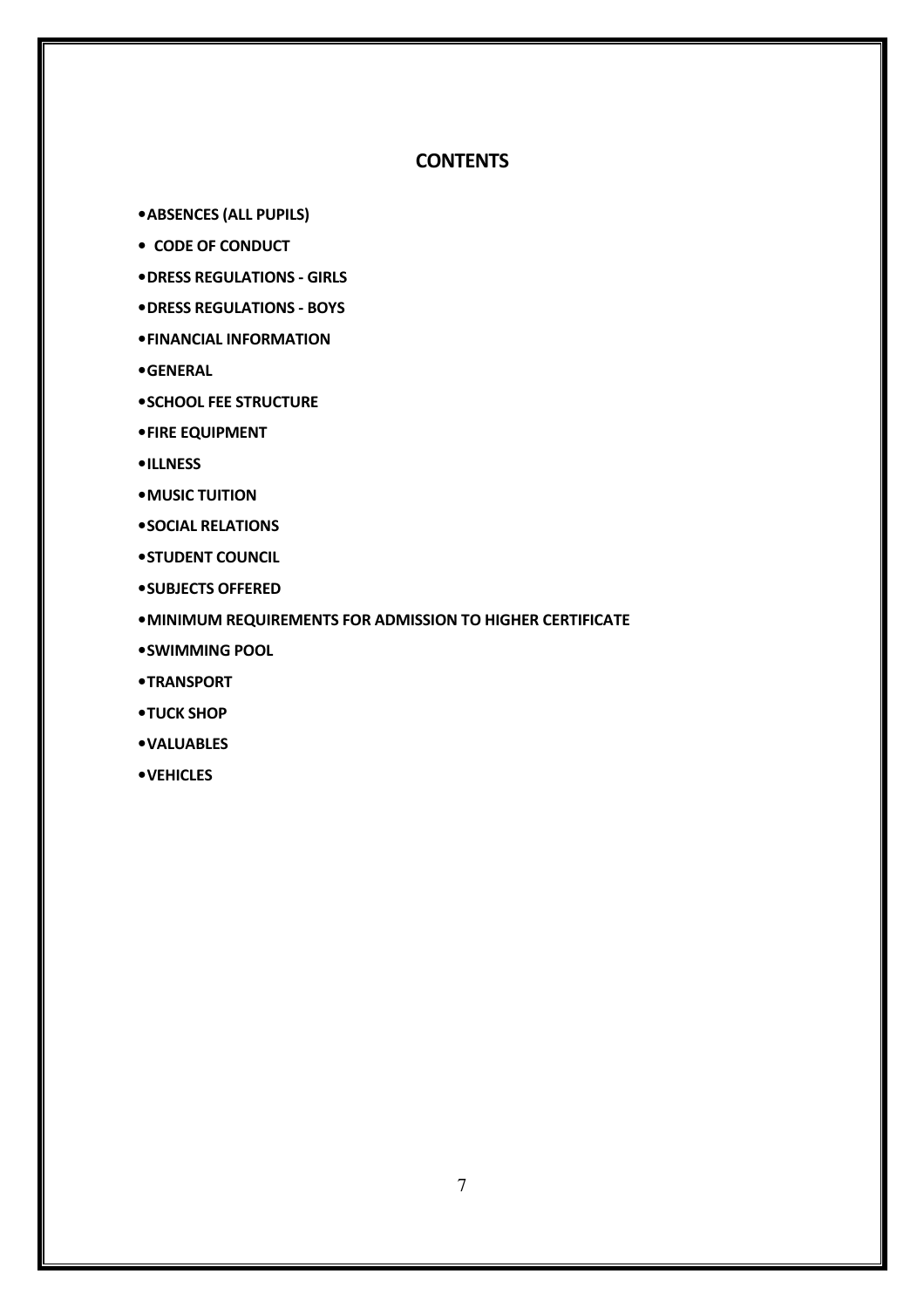# **CONTENTS**

•ABSENCES (ALL PUPILS)

- CODE OF CONDUCT
- •DRESS REGULATIONS GIRLS
- •DRESS REGULATIONS BOYS
- •FINANCIAL INFORMATION
- •GENERAL
- •SCHOOL FEE STRUCTURE
- •FIRE EQUIPMENT
- •ILLNESS
- •MUSIC TUITION
- •SOCIAL RELATIONS
- •STUDENT COUNCIL
- •SUBJECTS OFFERED
- •MINIMUM REQUIREMENTS FOR ADMISSION TO HIGHER CERTIFICATE
- •SWIMMING POOL
- •TRANSPORT
- •TUCK SHOP
- •VALUABLES
- •VEHICLES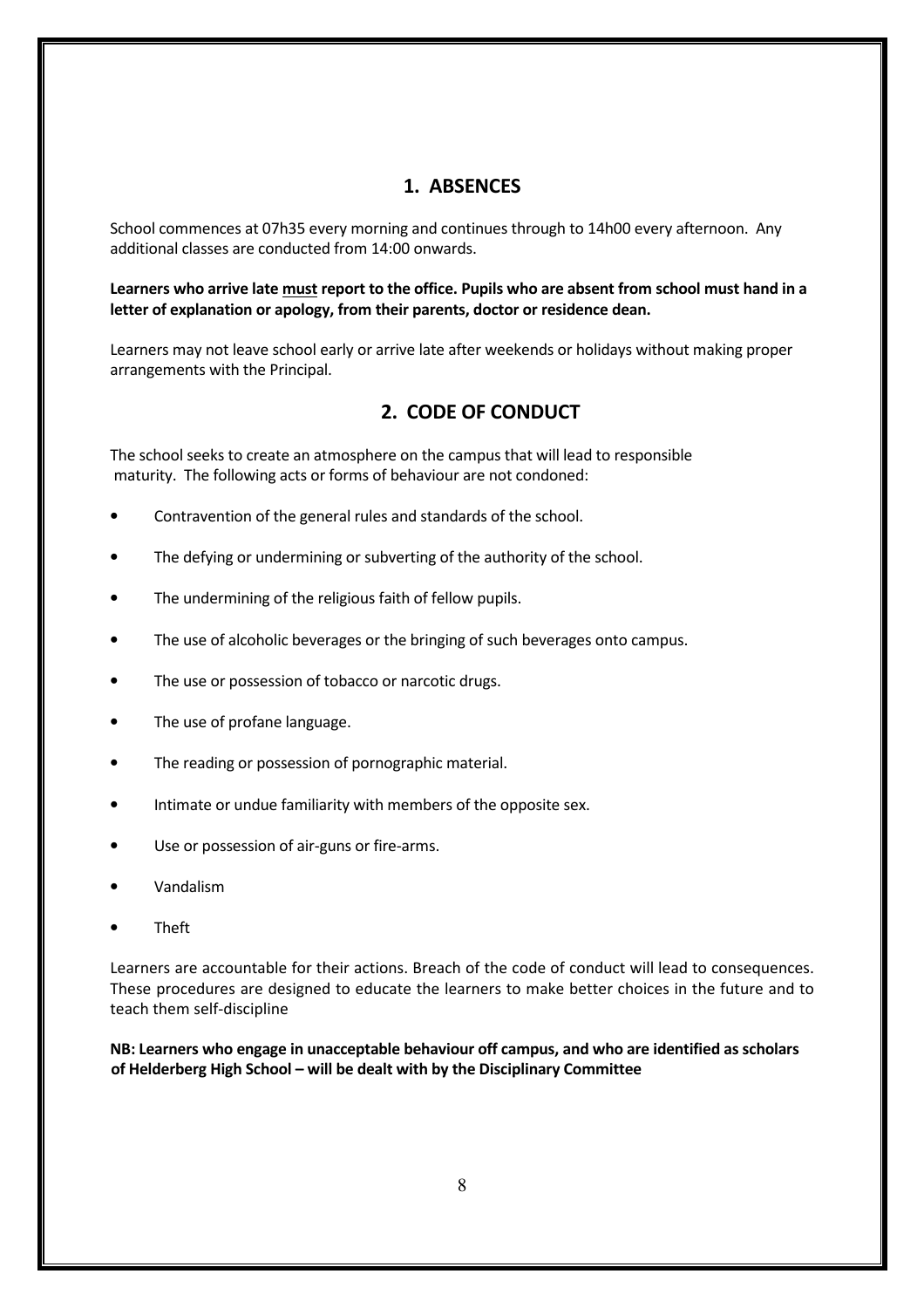# 1. ABSENCES

School commences at 07h35 every morning and continues through to 14h00 every afternoon. Any additional classes are conducted from 14:00 onwards.

Learners who arrive late must report to the office. Pupils who are absent from school must hand in a letter of explanation or apology, from their parents, doctor or residence dean.

Learners may not leave school early or arrive late after weekends or holidays without making proper arrangements with the Principal.

# 2. CODE OF CONDUCT

The school seeks to create an atmosphere on the campus that will lead to responsible maturity. The following acts or forms of behaviour are not condoned:

- Contravention of the general rules and standards of the school.
- The defving or undermining or subverting of the authority of the school.
- The undermining of the religious faith of fellow pupils.
- The use of alcoholic beverages or the bringing of such beverages onto campus.
- The use or possession of tobacco or narcotic drugs.
- The use of profane language.
- The reading or possession of pornographic material.
- Intimate or undue familiarity with members of the opposite sex.
- Use or possession of air-guns or fire-arms.
- Vandalism
- Theft

Learners are accountable for their actions. Breach of the code of conduct will lead to consequences. These procedures are designed to educate the learners to make better choices in the future and to teach them self-discipline

NB: Learners who engage in unacceptable behaviour off campus, and who are identified as scholars of Helderberg High School – will be dealt with by the Disciplinary Committee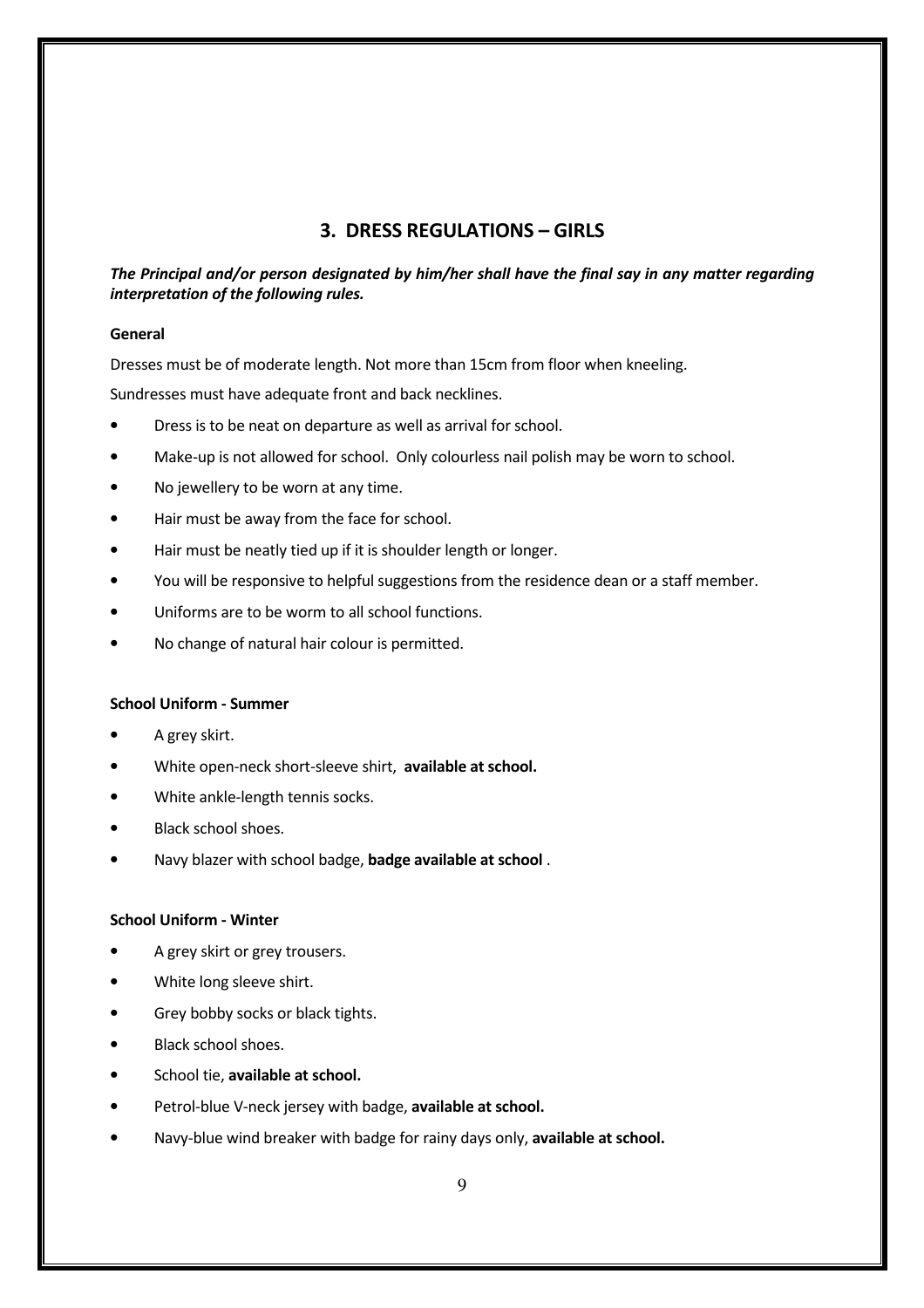# 3. DRESS REGULATIONS – GIRLS

## The Principal and/or person designated by him/her shall have the final say in any matter regarding interpretation of the following rules.

#### General

Dresses must be of moderate length. Not more than 15cm from floor when kneeling.

Sundresses must have adequate front and back necklines.

- Dress is to be neat on departure as well as arrival for school.
- Make-up is not allowed for school. Only colourless nail polish may be worn to school.
- No jewellery to be worn at any time.
- Hair must be away from the face for school.
- Hair must be neatly tied up if it is shoulder length or longer.
- You will be responsive to helpful suggestions from the residence dean or a staff member.
- Uniforms are to be worm to all school functions.
- No change of natural hair colour is permitted.

#### School Uniform - Summer

- A grey skirt.
- White open-neck short-sleeve shirt, available at school.
- White ankle-length tennis socks.
- Black school shoes.
- Navy blazer with school badge, badge available at school.

#### School Uniform - Winter

- A grey skirt or grey trousers.
- White long sleeve shirt.
- Grey bobby socks or black tights.
- Black school shoes.
- School tie, available at school.
- Petrol-blue V-neck jersey with badge, available at school.
- Navy-blue wind breaker with badge for rainy days only, available at school.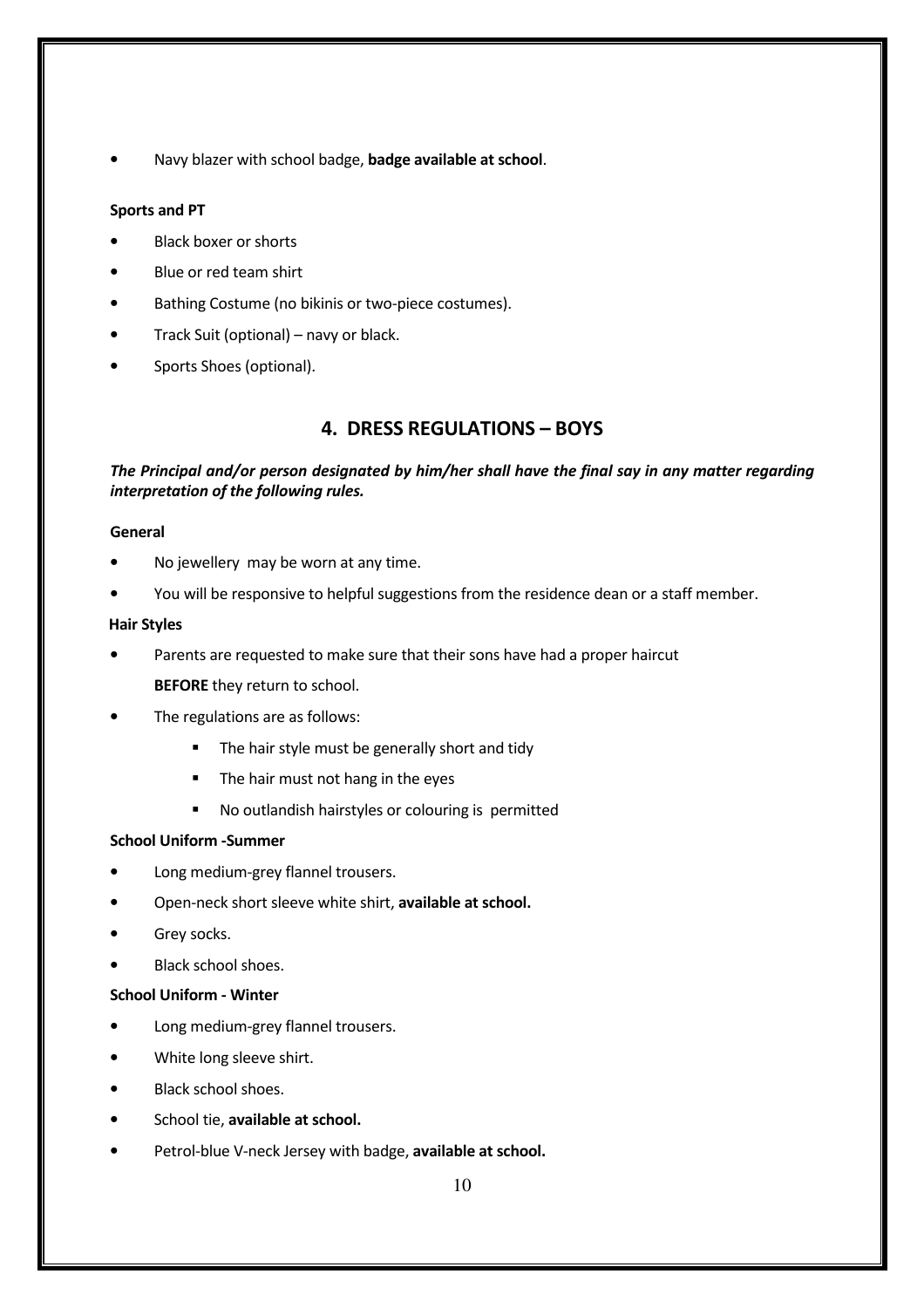Navy blazer with school badge, badge available at school.

#### Sports and PT

- Black boxer or shorts
- Blue or red team shirt
- Bathing Costume (no bikinis or two-piece costumes).
- Track Suit (optional) navy or black.
- Sports Shoes (optional).

# 4. DRESS REGULATIONS – BOYS

### The Principal and/or person designated by him/her shall have the final say in any matter regarding interpretation of the following rules.

#### General

- No jewellery may be worn at any time.
- You will be responsive to helpful suggestions from the residence dean or a staff member.

#### Hair Styles

- Parents are requested to make sure that their sons have had a proper haircut BEFORE they return to school.
- The regulations are as follows:
	- The hair style must be generally short and tidy
	- The hair must not hang in the eyes
	- No outlandish hairstyles or colouring is permitted

#### School Uniform -Summer

- Long medium-grey flannel trousers.
- Open-neck short sleeve white shirt, available at school.
- Grey socks.
- Black school shoes.

#### School Uniform - Winter

- Long medium-grey flannel trousers.
- White long sleeve shirt.
- Black school shoes.
- School tie, available at school.
- Petrol-blue V-neck Jersey with badge, available at school.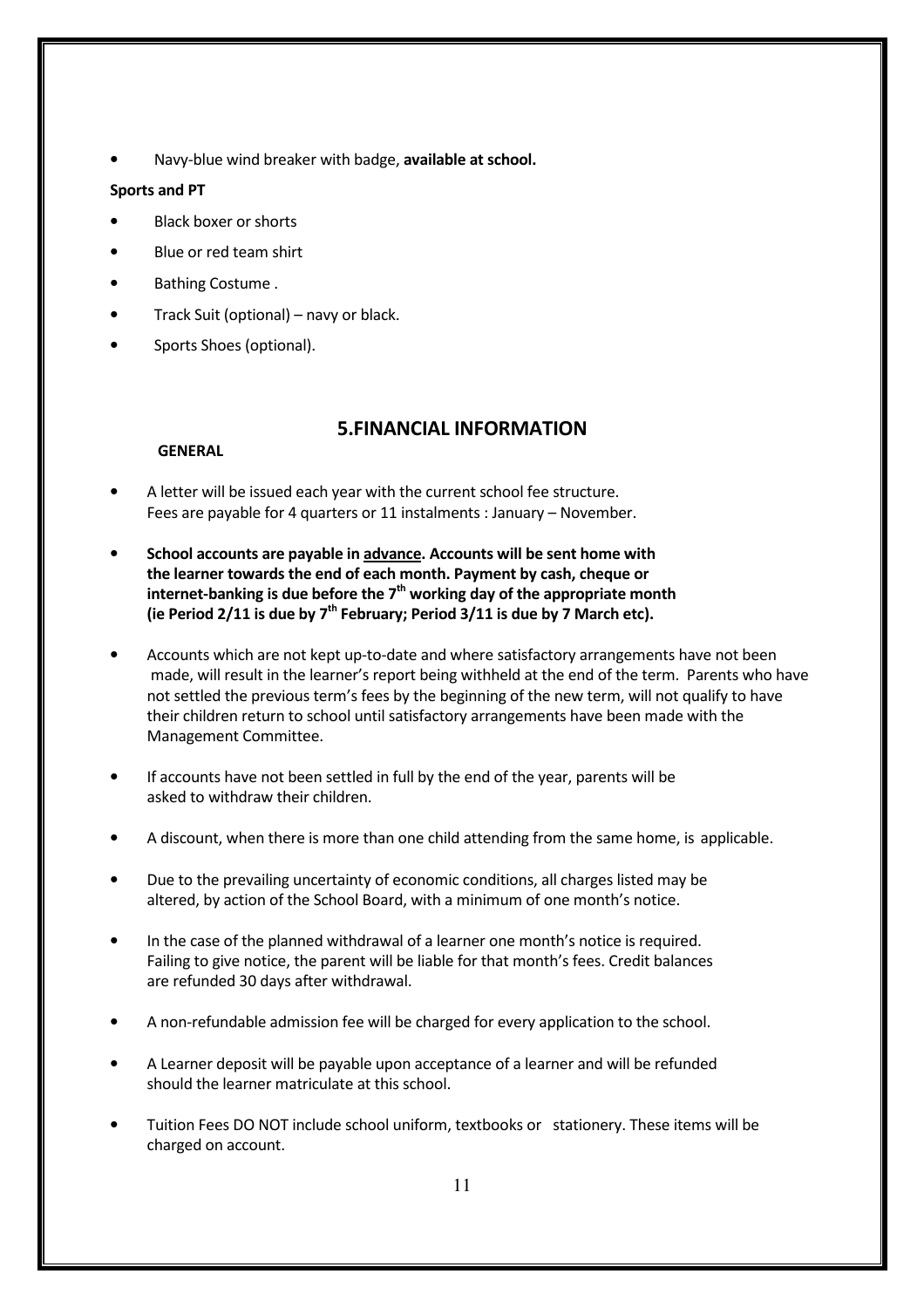Navy-blue wind breaker with badge, available at school.

#### Sports and PT

- Black boxer or shorts
- Blue or red team shirt
- Bathing Costume .
- Track Suit (optional) navy or black.
- Sports Shoes (optional).

# 5.FINANCIAL INFORMATION

#### GENERAL

- A letter will be issued each year with the current school fee structure. Fees are payable for 4 quarters or 11 instalments : January – November.
- School accounts are payable in advance. Accounts will be sent home with the learner towards the end of each month. Payment by cash, cheque or internet-banking is due before the  $7<sup>th</sup>$  working day of the appropriate month (ie Period 2/11 is due by  $7<sup>th</sup>$  February; Period 3/11 is due by 7 March etc).
- Accounts which are not kept up-to-date and where satisfactory arrangements have not been made, will result in the learner's report being withheld at the end of the term. Parents who have not settled the previous term's fees by the beginning of the new term, will not qualify to have their children return to school until satisfactory arrangements have been made with the Management Committee.
- If accounts have not been settled in full by the end of the year, parents will be asked to withdraw their children.
- A discount, when there is more than one child attending from the same home, is applicable.
- Due to the prevailing uncertainty of economic conditions, all charges listed may be altered, by action of the School Board, with a minimum of one month's notice.
- In the case of the planned withdrawal of a learner one month's notice is required. Failing to give notice, the parent will be liable for that month's fees. Credit balances are refunded 30 days after withdrawal.
- A non-refundable admission fee will be charged for every application to the school.
- A Learner deposit will be payable upon acceptance of a learner and will be refunded should the learner matriculate at this school.
- Tuition Fees DO NOT include school uniform, textbooks or stationery. These items will be charged on account.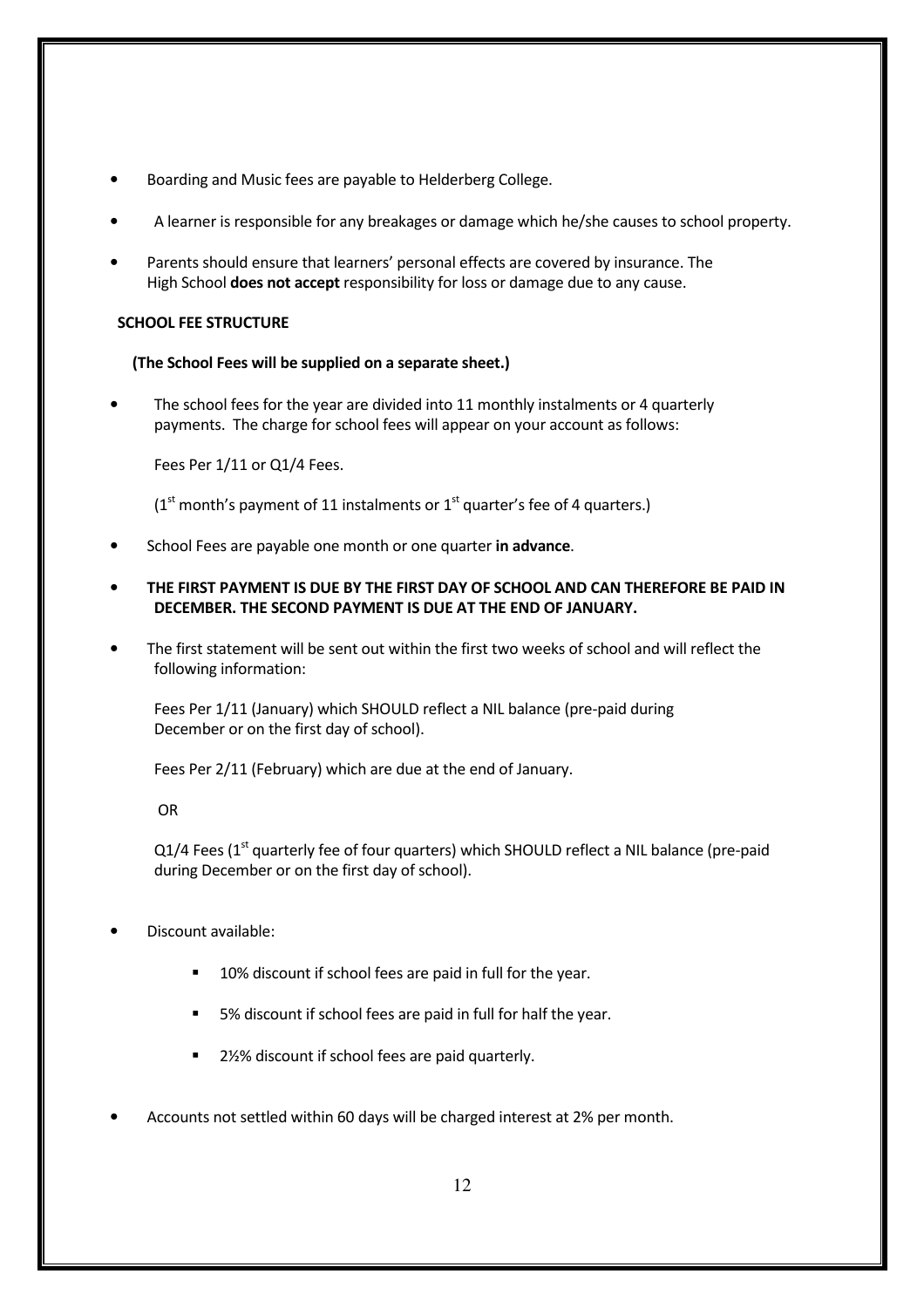- Boarding and Music fees are payable to Helderberg College.
- A learner is responsible for any breakages or damage which he/she causes to school property.
- Parents should ensure that learners' personal effects are covered by insurance. The High School **does not accept** responsibility for loss or damage due to any cause.

#### SCHOOL FEE STRUCTURE

#### (The School Fees will be supplied on a separate sheet.)

The school fees for the year are divided into 11 monthly instalments or 4 quarterly payments. The charge for school fees will appear on your account as follows:

Fees Per 1/11 or Q1/4 Fees.

 $(1<sup>st</sup>$  month's payment of 11 instalments or  $1<sup>st</sup>$  quarter's fee of 4 quarters.)

- School Fees are payable one month or one quarter in advance.
- THE FIRST PAYMENT IS DUE BY THE FIRST DAY OF SCHOOL AND CAN THEREFORE BE PAID IN DECEMBER. THE SECOND PAYMENT IS DUE AT THE END OF JANUARY.
- The first statement will be sent out within the first two weeks of school and will reflect the following information:

Fees Per 1/11 (January) which SHOULD reflect a NIL balance (pre-paid during December or on the first day of school).

Fees Per 2/11 (February) which are due at the end of January.

OR

Q1/4 Fees (1<sup>st</sup> quarterly fee of four quarters) which SHOULD reflect a NIL balance (pre-paid during December or on the first day of school).

- Discount available:
	- 10% discount if school fees are paid in full for the year.
	- 5% discount if school fees are paid in full for half the year.
	- 2½% discount if school fees are paid quarterly.
- Accounts not settled within 60 days will be charged interest at 2% per month.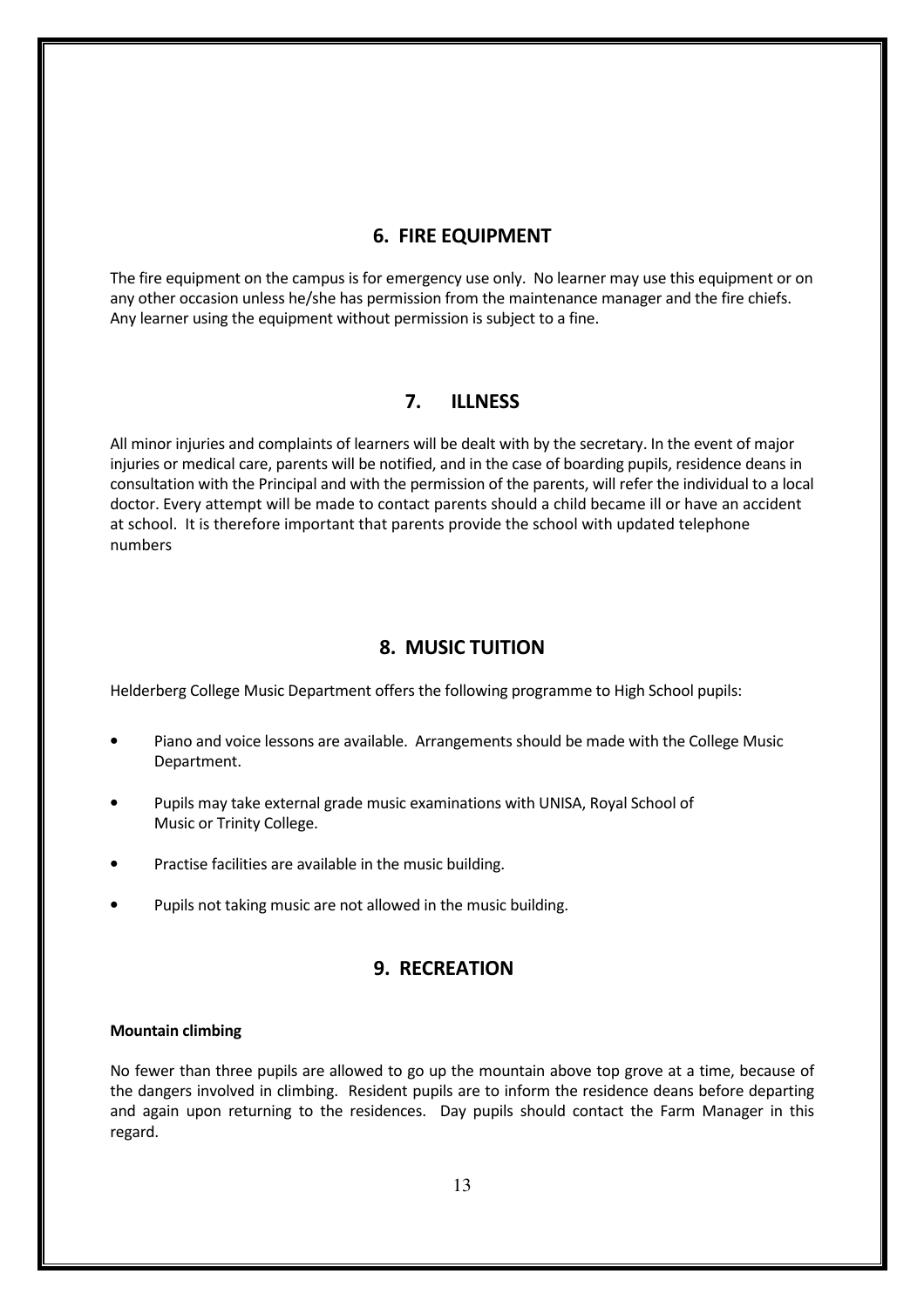# 6. FIRE EQUIPMENT

The fire equipment on the campus is for emergency use only. No learner may use this equipment or on any other occasion unless he/she has permission from the maintenance manager and the fire chiefs. Any learner using the equipment without permission is subject to a fine.

# 7. ILLNESS

All minor injuries and complaints of learners will be dealt with by the secretary. In the event of major injuries or medical care, parents will be notified, and in the case of boarding pupils, residence deans in consultation with the Principal and with the permission of the parents, will refer the individual to a local doctor. Every attempt will be made to contact parents should a child became ill or have an accident at school. It is therefore important that parents provide the school with updated telephone numbers

# 8. MUSIC TUITION

Helderberg College Music Department offers the following programme to High School pupils:

- Piano and voice lessons are available. Arrangements should be made with the College Music Department.
- Pupils may take external grade music examinations with UNISA, Royal School of Music or Trinity College.
- Practise facilities are available in the music building.
- Pupils not taking music are not allowed in the music building.

# 9. RECREATION

#### Mountain climbing

No fewer than three pupils are allowed to go up the mountain above top grove at a time, because of the dangers involved in climbing. Resident pupils are to inform the residence deans before departing and again upon returning to the residences. Day pupils should contact the Farm Manager in this regard.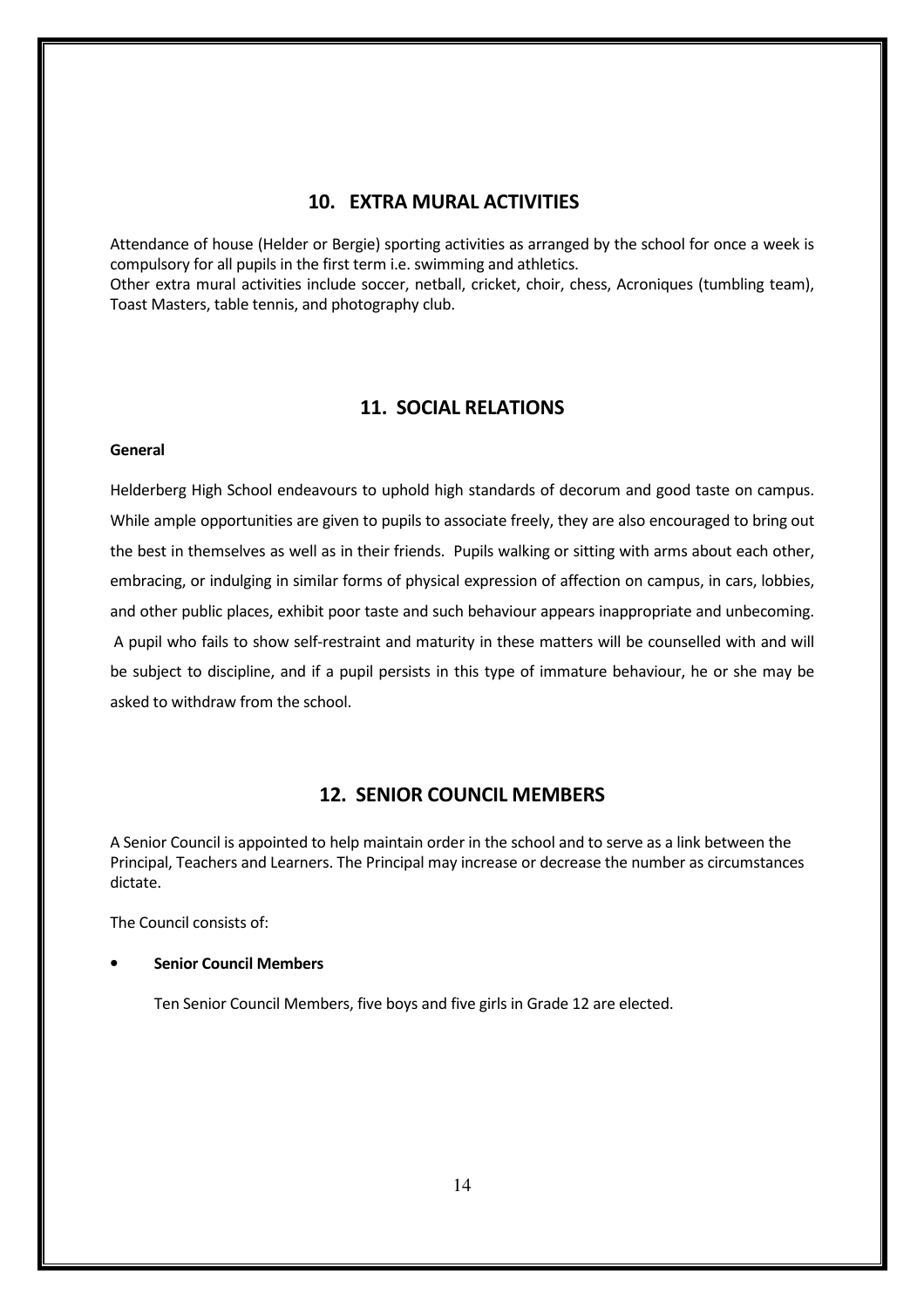# 10. EXTRA MURAL ACTIVITIES

Attendance of house (Helder or Bergie) sporting activities as arranged by the school for once a week is compulsory for all pupils in the first term i.e. swimming and athletics.

Other extra mural activities include soccer, netball, cricket, choir, chess, Acroniques (tumbling team), Toast Masters, table tennis, and photography club.

# 11. SOCIAL RELATIONS

#### General

Helderberg High School endeavours to uphold high standards of decorum and good taste on campus. While ample opportunities are given to pupils to associate freely, they are also encouraged to bring out the best in themselves as well as in their friends. Pupils walking or sitting with arms about each other, embracing, or indulging in similar forms of physical expression of affection on campus, in cars, lobbies, and other public places, exhibit poor taste and such behaviour appears inappropriate and unbecoming. A pupil who fails to show self-restraint and maturity in these matters will be counselled with and will be subject to discipline, and if a pupil persists in this type of immature behaviour, he or she may be asked to withdraw from the school.

### 12. SENIOR COUNCIL MEMBERS

A Senior Council is appointed to help maintain order in the school and to serve as a link between the Principal, Teachers and Learners. The Principal may increase or decrease the number as circumstances dictate.

The Council consists of:

#### **Senior Council Members**

Ten Senior Council Members, five boys and five girls in Grade 12 are elected.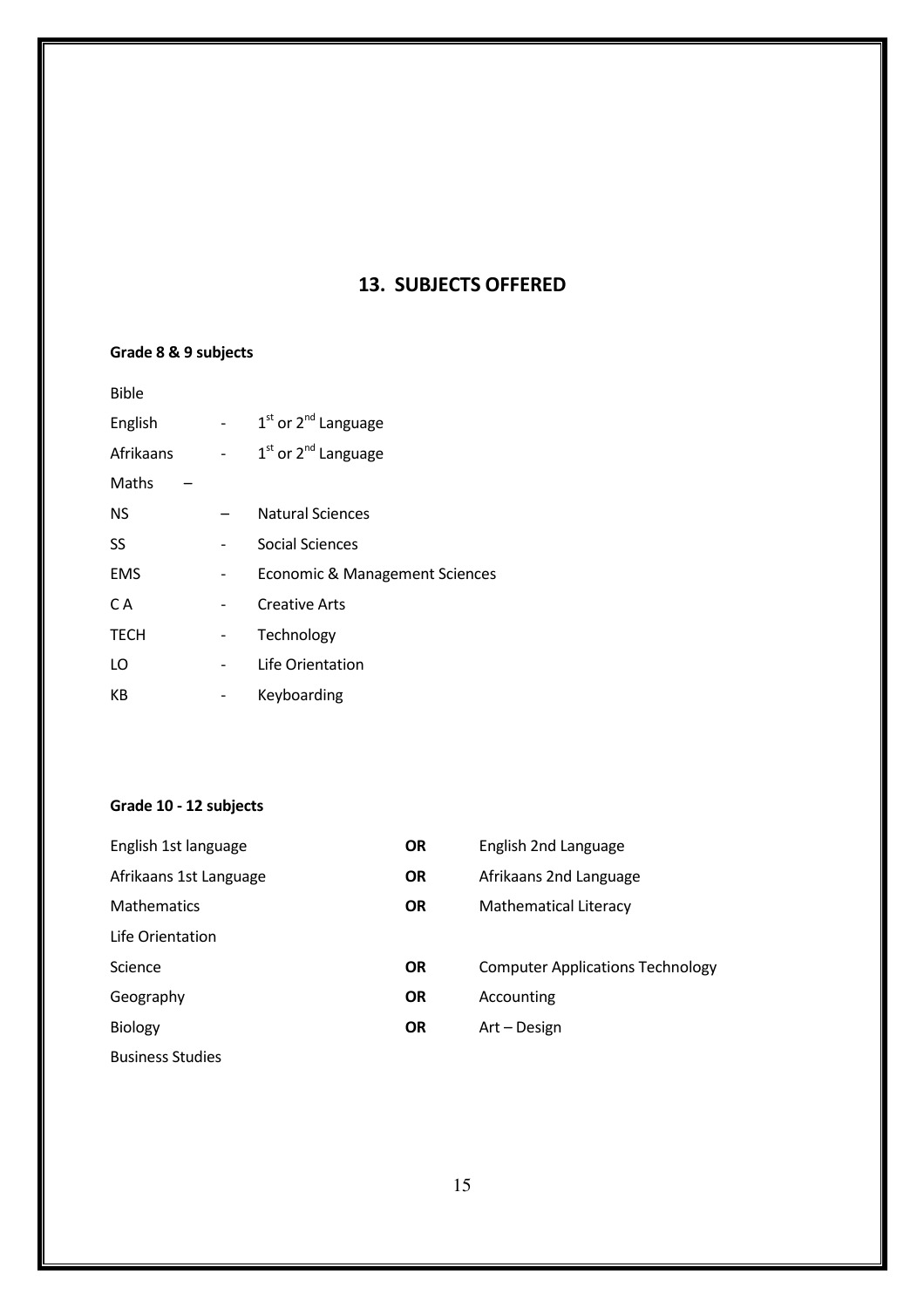# 13. SUBJECTS OFFERED

# Grade 8 & 9 subjects

|  | $1st$ or $2nd$ Language        |
|--|--------------------------------|
|  | $1st$ or $2nd$ Language        |
|  |                                |
|  | <b>Natural Sciences</b>        |
|  | <b>Social Sciences</b>         |
|  | Economic & Management Sciences |
|  | <b>Creative Arts</b>           |
|  | Technology                     |
|  | Life Orientation               |
|  | Keyboarding                    |
|  |                                |

# Grade 10 - 12 subjects

| English 1st language    | <b>OR</b> | English 2nd Language                    |
|-------------------------|-----------|-----------------------------------------|
| Afrikaans 1st Language  | <b>OR</b> | Afrikaans 2nd Language                  |
| <b>Mathematics</b>      | <b>OR</b> | Mathematical Literacy                   |
| Life Orientation        |           |                                         |
| Science                 | <b>OR</b> | <b>Computer Applications Technology</b> |
| Geography               | <b>OR</b> | Accounting                              |
| <b>Biology</b>          | <b>OR</b> | Art – Design                            |
| <b>Business Studies</b> |           |                                         |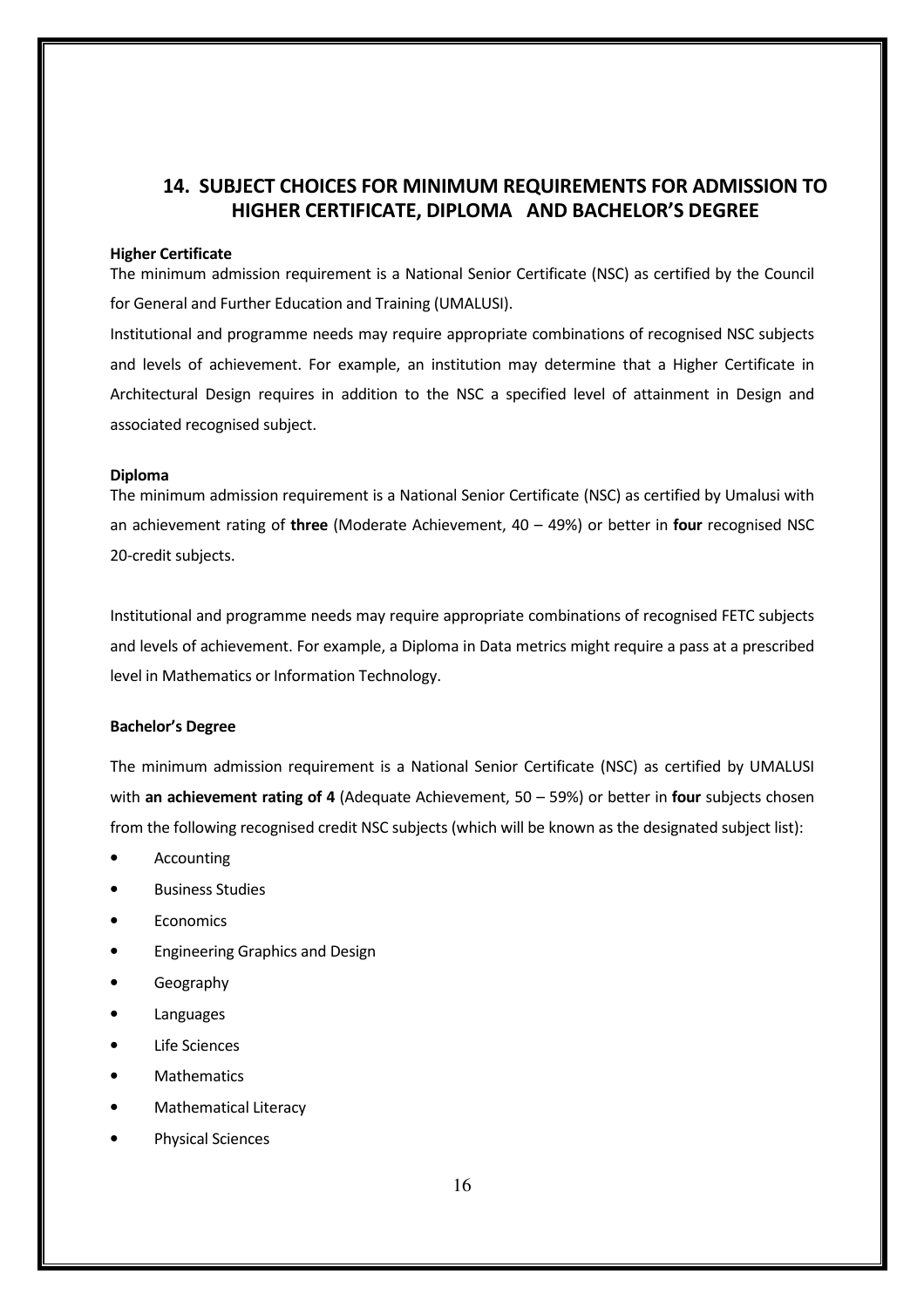# 14. SUBJECT CHOICES FOR MINIMUM REQUIREMENTS FOR ADMISSION TO HIGHER CERTIFICATE, DIPLOMA AND BACHELOR'S DEGREE

#### Higher Certificate

The minimum admission requirement is a National Senior Certificate (NSC) as certified by the Council for General and Further Education and Training (UMALUSI).

Institutional and programme needs may require appropriate combinations of recognised NSC subjects and levels of achievement. For example, an institution may determine that a Higher Certificate in Architectural Design requires in addition to the NSC a specified level of attainment in Design and associated recognised subject.

#### Diploma

The minimum admission requirement is a National Senior Certificate (NSC) as certified by Umalusi with an achievement rating of three (Moderate Achievement,  $40 - 49%$ ) or better in four recognised NSC 20-credit subjects.

Institutional and programme needs may require appropriate combinations of recognised FETC subjects and levels of achievement. For example, a Diploma in Data metrics might require a pass at a prescribed level in Mathematics or Information Technology.

#### Bachelor's Degree

The minimum admission requirement is a National Senior Certificate (NSC) as certified by UMALUSI with an achievement rating of 4 (Adequate Achievement, 50 – 59%) or better in four subjects chosen from the following recognised credit NSC subjects (which will be known as the designated subject list):

- **Accounting**
- Business Studies
- **Economics**
- Engineering Graphics and Design
- Geography
- **Languages**
- **Life Sciences**
- **Mathematics**
- Mathematical Literacy
- Physical Sciences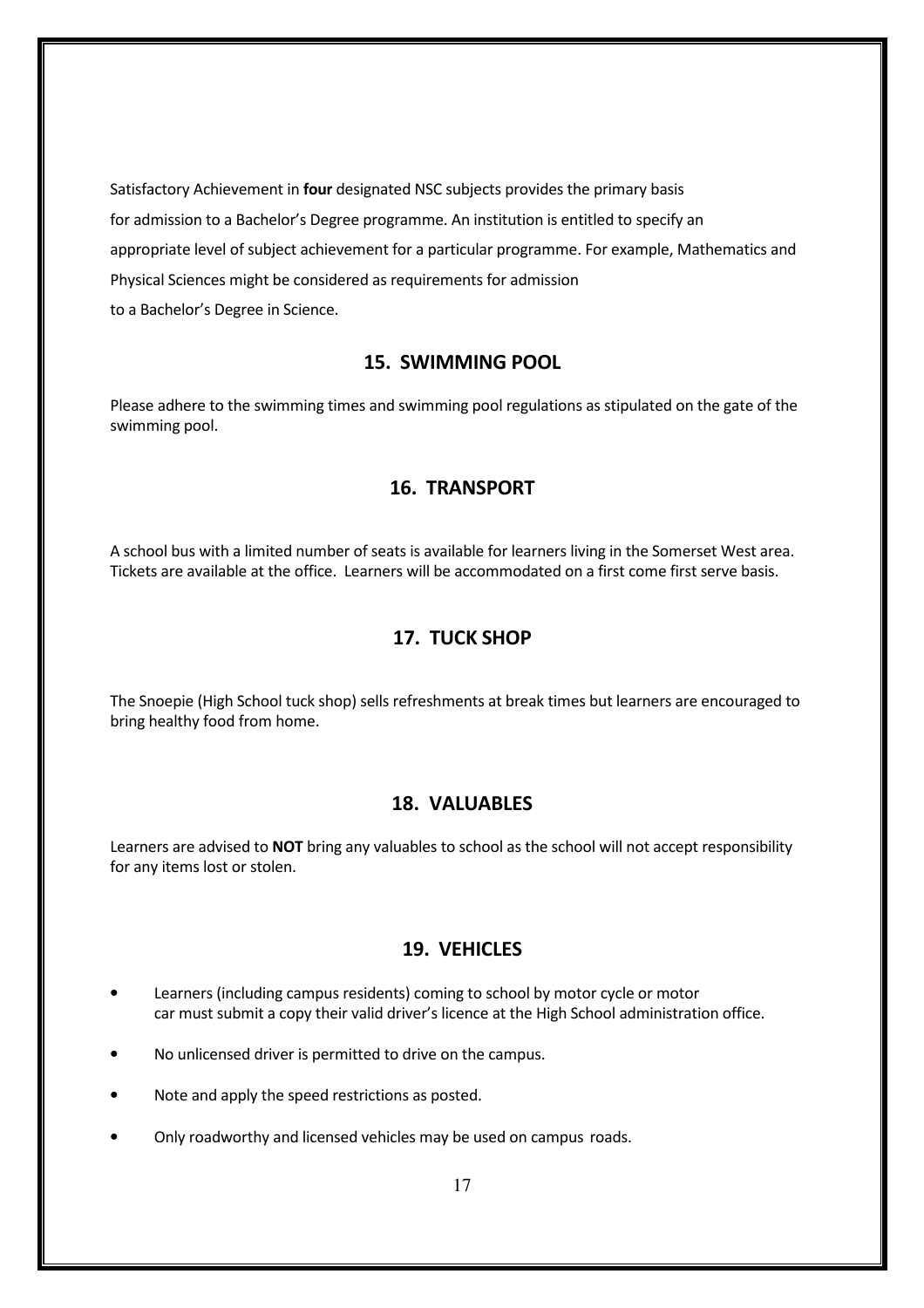Satisfactory Achievement in four designated NSC subjects provides the primary basis for admission to a Bachelor's Degree programme. An institution is entitled to specify an appropriate level of subject achievement for a particular programme. For example, Mathematics and Physical Sciences might be considered as requirements for admission to a Bachelor's Degree in Science.

### 15. SWIMMING POOL

Please adhere to the swimming times and swimming pool regulations as stipulated on the gate of the swimming pool.

# 16. TRANSPORT

A school bus with a limited number of seats is available for learners living in the Somerset West area. Tickets are available at the office. Learners will be accommodated on a first come first serve basis.

# 17. TUCK SHOP

The Snoepie (High School tuck shop) sells refreshments at break times but learners are encouraged to bring healthy food from home.

#### 18. VALUABLES

Learners are advised to NOT bring any valuables to school as the school will not accept responsibility for any items lost or stolen.

# 19. VEHICLES

- Learners (including campus residents) coming to school by motor cycle or motor car must submit a copy their valid driver's licence at the High School administration office.
- No unlicensed driver is permitted to drive on the campus.
- Note and apply the speed restrictions as posted.
- Only roadworthy and licensed vehicles may be used on campus roads.